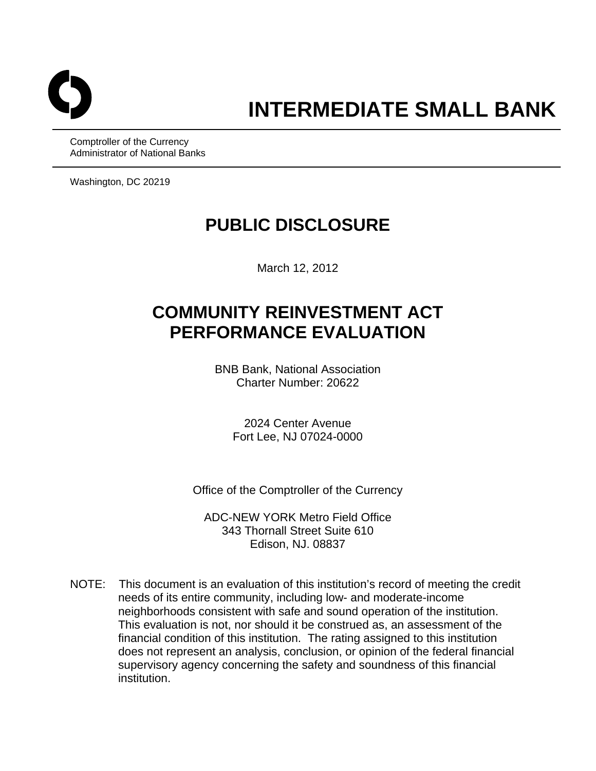

Comptroller of the Currency Administrator of National Banks

Washington, DC 20219

# **PUBLIC DISCLOSURE**

March 12, 2012

# **COMMUNITY REINVESTMENT ACT PERFORMANCE EVALUATION**

BNB Bank, National Association Charter Number: 20622

> 2024 Center Avenue Fort Lee, NJ 07024-0000

Office of the Comptroller of the Currency

ADC-NEW YORK Metro Field Office 343 Thornall Street Suite 610 Edison, NJ. 08837

NOTE: This document is an evaluation of this institution's record of meeting the credit needs of its entire community, including low- and moderate-income neighborhoods consistent with safe and sound operation of the institution. This evaluation is not, nor should it be construed as, an assessment of the financial condition of this institution. The rating assigned to this institution does not represent an analysis, conclusion, or opinion of the federal financial supervisory agency concerning the safety and soundness of this financial institution.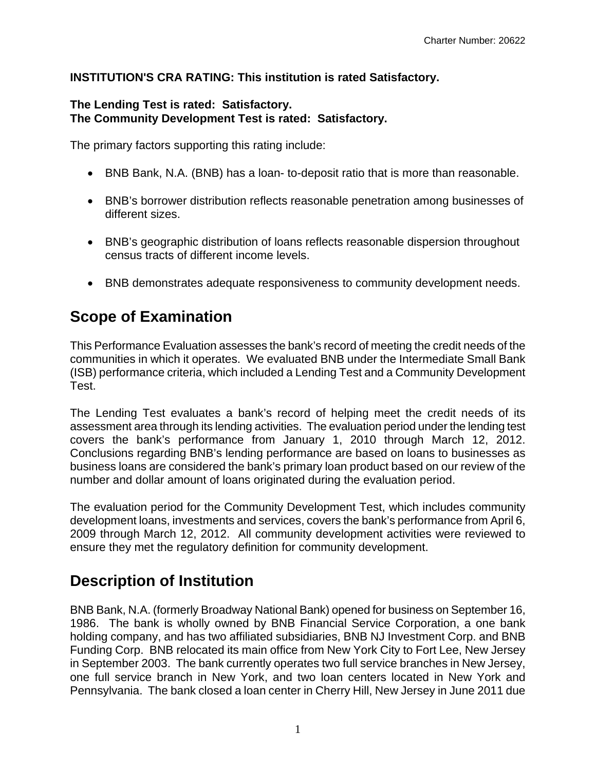#### **INSTITUTION'S CRA RATING: This institution is rated Satisfactory.**

#### **The Lending Test is rated: Satisfactory. The Community Development Test is rated: Satisfactory.**

The primary factors supporting this rating include:

- BNB Bank, N.A. (BNB) has a loan- to-deposit ratio that is more than reasonable.
- BNB's borrower distribution reflects reasonable penetration among businesses of different sizes.
- BNB's geographic distribution of loans reflects reasonable dispersion throughout census tracts of different income levels.
- BNB demonstrates adequate responsiveness to community development needs.

## **Scope of Examination**

This Performance Evaluation assesses the bank's record of meeting the credit needs of the communities in which it operates. We evaluated BNB under the Intermediate Small Bank (ISB) performance criteria, which included a Lending Test and a Community Development Test.

The Lending Test evaluates a bank's record of helping meet the credit needs of its assessment area through its lending activities. The evaluation period under the lending test covers the bank's performance from January 1, 2010 through March 12, 2012. Conclusions regarding BNB's lending performance are based on loans to businesses as business loans are considered the bank's primary loan product based on our review of the number and dollar amount of loans originated during the evaluation period.

The evaluation period for the Community Development Test, which includes community development loans, investments and services, covers the bank's performance from April 6, 2009 through March 12, 2012. All community development activities were reviewed to ensure they met the regulatory definition for community development.

### **Description of Institution**

BNB Bank, N.A. (formerly Broadway National Bank) opened for business on September 16, 1986. The bank is wholly owned by BNB Financial Service Corporation, a one bank holding company, and has two affiliated subsidiaries, BNB NJ Investment Corp. and BNB Funding Corp. BNB relocated its main office from New York City to Fort Lee, New Jersey in September 2003. The bank currently operates two full service branches in New Jersey, one full service branch in New York, and two loan centers located in New York and Pennsylvania. The bank closed a loan center in Cherry Hill, New Jersey in June 2011 due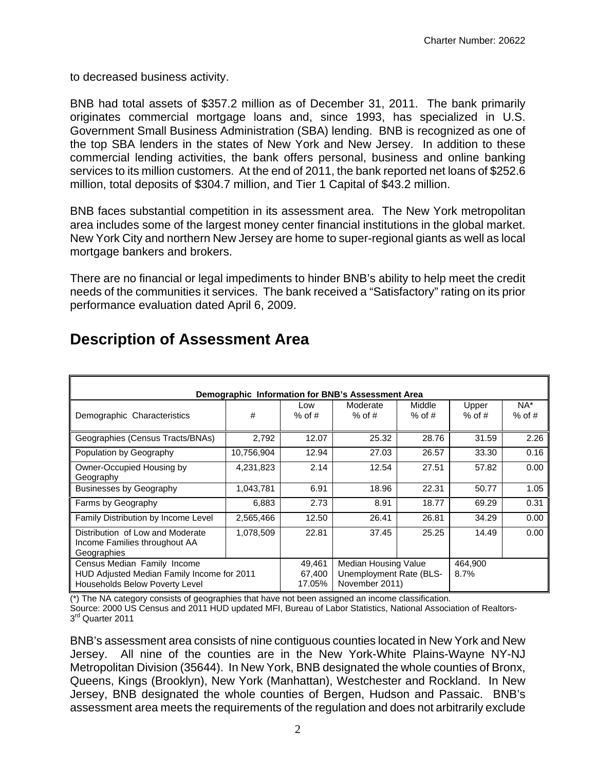to decreased business activity.

BNB had total assets of \$357.2 million as of December 31, 2011. The bank primarily originates commercial mortgage loans and, since 1993, has specialized in U.S. Government Small Business Administration (SBA) lending. BNB is recognized as one of the top SBA lenders in the states of New York and New Jersey. In addition to these commercial lending activities, the bank offers personal, business and online banking services to its million customers. At the end of 2011, the bank reported net loans of \$252.6 million, total deposits of \$304.7 million, and Tier 1 Capital of \$43.2 million.

BNB faces substantial competition in its assessment area. The New York metropolitan area includes some of the largest money center financial institutions in the global market. New York City and northern New Jersey are home to super-regional giants as well as local mortgage bankers and brokers.

There are no financial or legal impediments to hinder BNB's ability to help meet the credit needs of the communities it services. The bank received a "Satisfactory" rating on its prior performance evaluation dated April 6, 2009.

| Demographic Information for BNB's Assessment Area                                                           |                            |                                                                                      |                      |                    |                   |                 |  |  |  |  |
|-------------------------------------------------------------------------------------------------------------|----------------------------|--------------------------------------------------------------------------------------|----------------------|--------------------|-------------------|-----------------|--|--|--|--|
| Demographic Characteristics                                                                                 | #                          | Low<br>$%$ of #                                                                      | Moderate<br>$%$ of # | Middle<br>$%$ of # | Upper<br>$%$ of # | NA*<br>$%$ of # |  |  |  |  |
| Geographies (Census Tracts/BNAs)                                                                            | 2,792                      | 12.07                                                                                | 25.32                | 28.76              | 31.59             | 2.26            |  |  |  |  |
| Population by Geography                                                                                     | 10,756,904                 | 12.94                                                                                | 27.03                | 26.57              | 33.30             | 0.16            |  |  |  |  |
| Owner-Occupied Housing by<br>Geography                                                                      | 4,231,823                  | 2.14                                                                                 | 12.54                | 27.51              | 57.82             | 0.00            |  |  |  |  |
| <b>Businesses by Geography</b>                                                                              | 1,043,781                  | 6.91                                                                                 | 18.96                | 22.31              | 50.77             | 1.05            |  |  |  |  |
| Farms by Geography                                                                                          | 6,883                      | 2.73                                                                                 | 8.91                 | 18.77              | 69.29             | 0.31            |  |  |  |  |
| Family Distribution by Income Level                                                                         | 2,565,466                  | 12.50                                                                                | 26.41                | 26.81              | 34.29             | 0.00            |  |  |  |  |
| Distribution of Low and Moderate<br>Income Families throughout AA<br>Geographies                            | 1,078,509                  | 22.81                                                                                | 37.45                | 25.25              | 14.49             | 0.00            |  |  |  |  |
| Census Median Family Income<br>HUD Adjusted Median Family Income for 2011<br>Households Below Poverty Level | 49.461<br>67,400<br>17.05% | Median Housing Value<br>464.900<br>Unemployment Rate (BLS-<br>8.7%<br>November 2011) |                      |                    |                   |                 |  |  |  |  |

### **Description of Assessment Area**

(\*) The NA category consists of geographies that have not been assigned an income classification.

Source: 2000 US Census and 2011 HUD updated MFI, Bureau of Labor Statistics, National Association of Realtors-3<sup>rd</sup> Quarter 2011

BNB's assessment area consists of nine contiguous counties located in New York and New Jersey. All nine of the counties are in the New York-White Plains-Wayne NY-NJ Metropolitan Division (35644). In New York, BNB designated the whole counties of Bronx, Queens, Kings (Brooklyn), New York (Manhattan), Westchester and Rockland. In New Jersey, BNB designated the whole counties of Bergen, Hudson and Passaic. BNB's assessment area meets the requirements of the regulation and does not arbitrarily exclude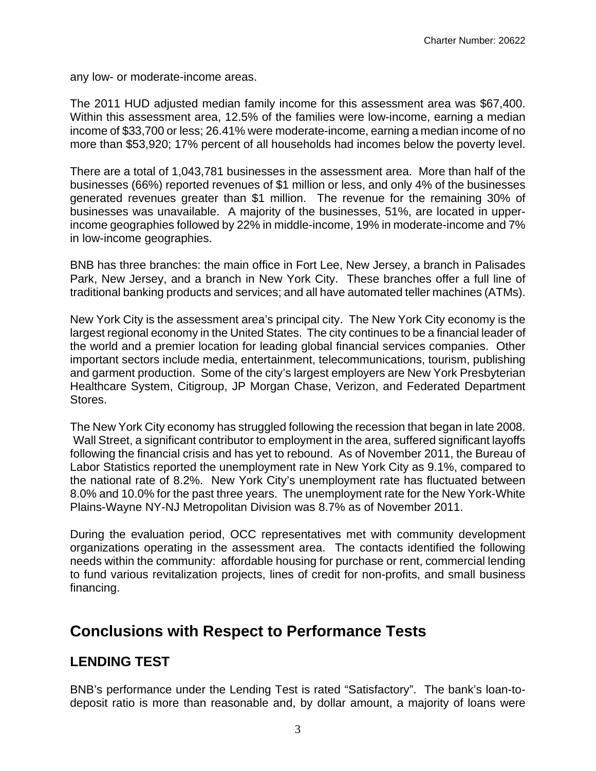any low- or moderate-income areas.

The 2011 HUD adjusted median family income for this assessment area was \$67,400. Within this assessment area, 12.5% of the families were low-income, earning a median income of \$33,700 or less; 26.41% were moderate-income, earning a median income of no more than \$53,920; 17% percent of all households had incomes below the poverty level.

There are a total of 1,043,781 businesses in the assessment area. More than half of the businesses (66%) reported revenues of \$1 million or less, and only 4% of the businesses generated revenues greater than \$1 million. The revenue for the remaining 30% of businesses was unavailable. A majority of the businesses, 51%, are located in upperincome geographies followed by 22% in middle-income, 19% in moderate-income and 7% in low-income geographies.

BNB has three branches: the main office in Fort Lee, New Jersey, a branch in Palisades Park, New Jersey, and a branch in New York City. These branches offer a full line of traditional banking products and services; and all have automated teller machines (ATMs).

New York City is the assessment area's principal city. The New York City economy is the largest regional economy in the United States. The city continues to be a financial leader of the world and a premier location for leading global financial services companies. Other important sectors include media, entertainment, telecommunications, tourism, publishing and garment production. Some of the city's largest employers are New York Presbyterian Healthcare System, Citigroup, JP Morgan Chase, Verizon, and Federated Department Stores.

The New York City economy has struggled following the recession that began in late 2008. Wall Street, a significant contributor to employment in the area, suffered significant layoffs following the financial crisis and has yet to rebound. As of November 2011, the Bureau of Labor Statistics reported the unemployment rate in New York City as 9.1%, compared to the national rate of 8.2%. New York City's unemployment rate has fluctuated between 8.0% and 10.0% for the past three years. The unemployment rate for the New York-White Plains-Wayne NY-NJ Metropolitan Division was 8.7% as of November 2011.

During the evaluation period, OCC representatives met with community development organizations operating in the assessment area. The contacts identified the following needs within the community: affordable housing for purchase or rent, commercial lending to fund various revitalization projects, lines of credit for non-profits, and small business financing.

### **Conclusions with Respect to Performance Tests**

### **LENDING TEST**

BNB's performance under the Lending Test is rated "Satisfactory". The bank's loan-todeposit ratio is more than reasonable and, by dollar amount, a majority of loans were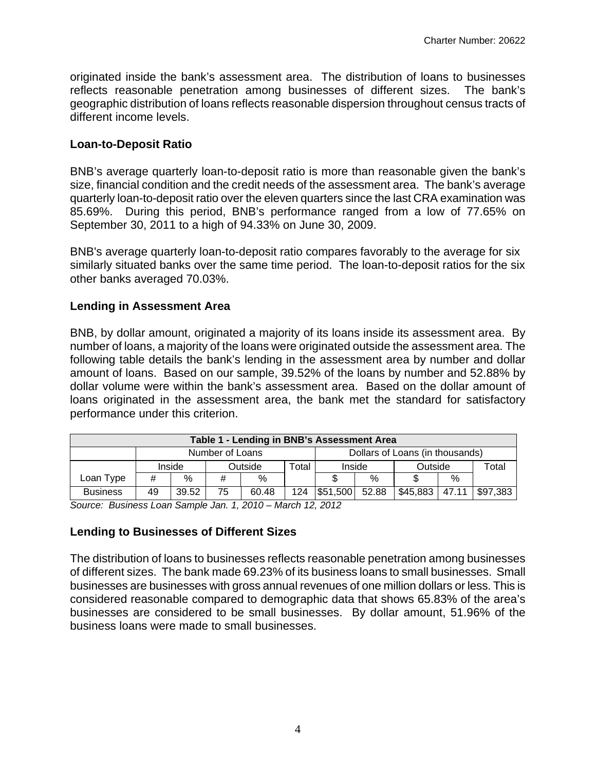originated inside the bank's assessment area. The distribution of loans to businesses reflects reasonable penetration among businesses of different sizes. The bank's geographic distribution of loans reflects reasonable dispersion throughout census tracts of different income levels.

#### **Loan-to-Deposit Ratio**

BNB's average quarterly loan-to-deposit ratio is more than reasonable given the bank's size, financial condition and the credit needs of the assessment area. The bank's average quarterly loan-to-deposit ratio over the eleven quarters since the last CRA examination was 85.69%. During this period, BNB's performance ranged from a low of 77.65% on September 30, 2011 to a high of 94.33% on June 30, 2009.

BNB's average quarterly loan-to-deposit ratio compares favorably to the average for six similarly situated banks over the same time period. The loan-to-deposit ratios for the six other banks averaged 70.03%.

#### **Lending in Assessment Area**

BNB, by dollar amount, originated a majority of its loans inside its assessment area. By number of loans, a majority of the loans were originated outside the assessment area. The following table details the bank's lending in the assessment area by number and dollar amount of loans. Based on our sample, 39.52% of the loans by number and 52.88% by dollar volume were within the bank's assessment area. Based on the dollar amount of loans originated in the assessment area, the bank met the standard for satisfactory performance under this criterion.

| Table 1 - Lending in BNB's Assessment Area |                 |        |                  |       |                                 |          |       |          |       |          |
|--------------------------------------------|-----------------|--------|------------------|-------|---------------------------------|----------|-------|----------|-------|----------|
|                                            | Number of Loans |        |                  |       | Dollars of Loans (in thousands) |          |       |          |       |          |
|                                            |                 | Inside | Outside<br>Total |       |                                 | Inside   |       | Outside  |       | Total    |
| Loan Type                                  | #               | $\%$   | #                | $\%$  |                                 |          | $\%$  |          | $\%$  |          |
| <b>Business</b>                            | 49              | 39.52  | 75               | 60.48 | 124                             | \$51,500 | 52.88 | \$45,883 | 47.11 | \$97,383 |

*Source: Business Loan Sample Jan. 1, 2010 – March 12, 2012* 

#### **Lending to Businesses of Different Sizes**

The distribution of loans to businesses reflects reasonable penetration among businesses of different sizes. The bank made 69.23% of its business loans to small businesses. Small businesses are businesses with gross annual revenues of one million dollars or less. This is considered reasonable compared to demographic data that shows 65.83% of the area's businesses are considered to be small businesses. By dollar amount, 51.96% of the business loans were made to small businesses.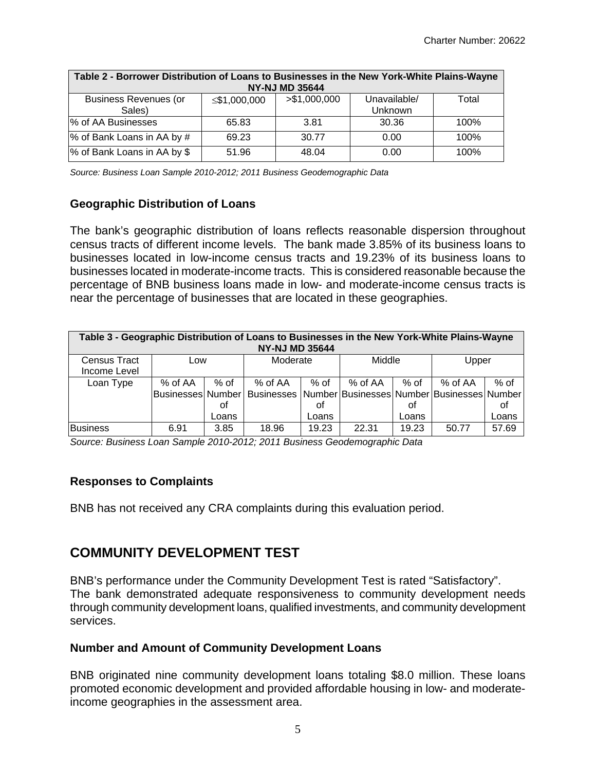| Table 2 - Borrower Distribution of Loans to Businesses in the New York-White Plains-Wayne<br><b>NY-NJ MD 35644</b> |              |               |                         |       |  |  |  |  |
|--------------------------------------------------------------------------------------------------------------------|--------------|---------------|-------------------------|-------|--|--|--|--|
| <b>Business Revenues (or</b><br>Sales)                                                                             | ≤\$1,000,000 | > \$1,000,000 | Unavailable/<br>Unknown | Total |  |  |  |  |
| % of AA Businesses                                                                                                 | 65.83        | 3.81          | 30.36                   | 100%  |  |  |  |  |
| % of Bank Loans in AA by #                                                                                         | 69.23        | 30.77         | 0.00                    | 100%  |  |  |  |  |
| % of Bank Loans in AA by \$                                                                                        | 51.96        | 48.04         | 0.00                    | 100%  |  |  |  |  |

 *Source: Business Loan Sample 2010-2012; 2011 Business Geodemographic Data* 

#### **Geographic Distribution of Loans**

The bank's geographic distribution of loans reflects reasonable dispersion throughout census tracts of different income levels. The bank made 3.85% of its business loans to businesses located in low-income census tracts and 19.23% of its business loans to businesses located in moderate-income tracts. This is considered reasonable because the percentage of BNB business loans made in low- and moderate-income census tracts is near the percentage of businesses that are located in these geographies.

| Table 3 - Geographic Distribution of Loans to Businesses in the New York-White Plains-Wayne<br><b>NY-NJ MD 35644</b> |                               |                     |                                                                            |                     |         |                       |           |                       |  |  |
|----------------------------------------------------------------------------------------------------------------------|-------------------------------|---------------------|----------------------------------------------------------------------------|---------------------|---------|-----------------------|-----------|-----------------------|--|--|
| Census Tract<br>Income Level                                                                                         | Low                           |                     | Moderate                                                                   |                     | Middle  |                       | Upper     |                       |  |  |
| Loan Type                                                                                                            | % of AA<br> Businesses Number | % of<br>οf<br>Loans | % of AA<br>Businesses   Number   Businesses   Number   Businesses   Number | % of<br>οt<br>Loans | % of AA | $%$ of<br>Οt<br>Loans | $%$ of AA | $%$ of<br>οf<br>Loans |  |  |
| <b>Business</b>                                                                                                      | 6.91                          | 3.85                | 18.96                                                                      | 19.23               | 22.31   | 19.23                 | 50.77     | 57.69                 |  |  |

*Source: Business Loan Sample 2010-2012; 2011 Business Geodemographic Data* 

#### **Responses to Complaints**

BNB has not received any CRA complaints during this evaluation period.

### **COMMUNITY DEVELOPMENT TEST**

BNB's performance under the Community Development Test is rated "Satisfactory". The bank demonstrated adequate responsiveness to community development needs through community development loans, qualified investments, and community development services.

#### **Number and Amount of Community Development Loans**

BNB originated nine community development loans totaling \$8.0 million. These loans promoted economic development and provided affordable housing in low- and moderateincome geographies in the assessment area.